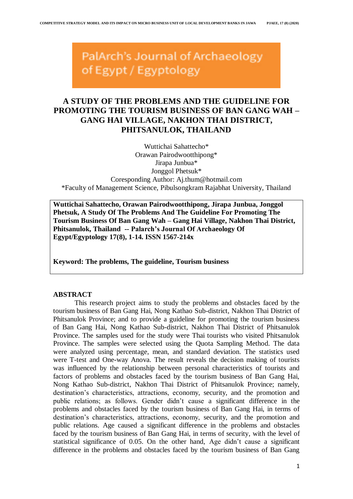PalArch's Journal of Archaeology of Egypt / Egyptology

# **A STUDY OF THE PROBLEMS AND THE GUIDELINE FOR PROMOTING THE TOURISM BUSINESS OF BAN GANG WAH – GANG HAI VILLAGE, NAKHON THAI DISTRICT, PHITSANULOK, THAILAND**

Wuttichai Sahattecho\* Orawan Pairodwootthipong\* Jirapa Junbua\* Jonggol Phetsuk\* Coresponding Author: Aj.thum@hotmail.com \*Faculty of Management Science, Pibulsongkram Rajabhat University, Thailand

**Wuttichai Sahattecho, Orawan Pairodwootthipong, Jirapa Junbua, Jonggol Phetsuk, A Study Of The Problems And The Guideline For Promoting The Tourism Business Of Ban Gang Wah – Gang Hai Village, Nakhon Thai District, Phitsanulok, Thailand -- Palarch's Journal Of Archaeology Of Egypt/Egyptology 17(8), 1-14. ISSN 1567-214x**

**Keyword: The problems, The guideline, Tourism business**

# **ABSTRACT**

This research project aims to study the problems and obstacles faced by the tourism business of Ban Gang Hai, Nong Kathao Sub-district, Nakhon Thai District of Phitsanulok Province; and to provide a guideline for promoting the tourism business of Ban Gang Hai, Nong Kathao Sub-district, Nakhon Thai District of Phitsanulok Province. The samples used for the study were Thai tourists who visited Phitsanulok Province. The samples were selected using the Quota Sampling Method. The data were analyzed using percentage, mean, and standard deviation. The statistics used were T-test and One-way Anova. The result reveals the decision making of tourists was influenced by the relationship between personal characteristics of tourists and factors of problems and obstacles faced by the tourism business of Ban Gang Hai, Nong Kathao Sub-district, Nakhon Thai District of Phitsanulok Province; namely, destination's characteristics, attractions, economy, security, and the promotion and public relations; as follows. Gender didn't cause a significant difference in the problems and obstacles faced by the tourism business of Ban Gang Hai, in terms of destination's characteristics, attractions, economy, security, and the promotion and public relations. Age caused a significant difference in the problems and obstacles faced by the tourism business of Ban Gang Hai, in terms of security, with the level of statistical significance of 0.05. On the other hand, Age didn't cause a significant difference in the problems and obstacles faced by the tourism business of Ban Gang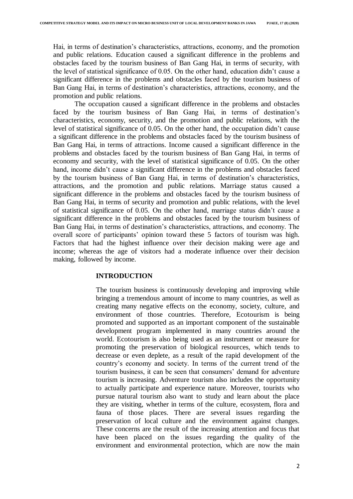Hai, in terms of destination's characteristics, attractions, economy, and the promotion and public relations. Education caused a significant difference in the problems and obstacles faced by the tourism business of Ban Gang Hai, in terms of security, with the level of statistical significance of 0.05. On the other hand, education didn't cause a significant difference in the problems and obstacles faced by the tourism business of Ban Gang Hai, in terms of destination's characteristics, attractions, economy, and the promotion and public relations.

The occupation caused a significant difference in the problems and obstacles faced by the tourism business of Ban Gang Hai, in terms of destination's characteristics, economy, security, and the promotion and public relations, with the level of statistical significance of 0.05. On the other hand, the occupation didn't cause a significant difference in the problems and obstacles faced by the tourism business of Ban Gang Hai, in terms of attractions. Income caused a significant difference in the problems and obstacles faced by the tourism business of Ban Gang Hai, in terms of economy and security, with the level of statistical significance of 0.05. On the other hand, income didn't cause a significant difference in the problems and obstacles faced by the tourism business of Ban Gang Hai, in terms of destination's characteristics, attractions, and the promotion and public relations. Marriage status caused a significant difference in the problems and obstacles faced by the tourism business of Ban Gang Hai, in terms of security and promotion and public relations, with the level of statistical significance of 0.05. On the other hand, marriage status didn't cause a significant difference in the problems and obstacles faced by the tourism business of Ban Gang Hai, in terms of destination's characteristics, attractions, and economy. The overall score of participants' opinion toward these 5 factors of tourism was high. Factors that had the highest influence over their decision making were age and income; whereas the age of visitors had a moderate influence over their decision making, followed by income.

# **INTRODUCTION**

The tourism business is continuously developing and improving while bringing a tremendous amount of income to many countries, as well as creating many negative effects on the economy, society, culture, and environment of those countries. Therefore, Ecotourism is being promoted and supported as an important component of the sustainable development program implemented in many countries around the world. Ecotourism is also being used as an instrument or measure for promoting the preservation of biological resources, which tends to decrease or even deplete, as a result of the rapid development of the country's economy and society. In terms of the current trend of the tourism business, it can be seen that consumers' demand for adventure tourism is increasing. Adventure tourism also includes the opportunity to actually participate and experience nature. Moreover, tourists who pursue natural tourism also want to study and learn about the place they are visiting, whether in terms of the culture, ecosystem, flora and fauna of those places. There are several issues regarding the preservation of local culture and the environment against changes. These concerns are the result of the increasing attention and focus that have been placed on the issues regarding the quality of the environment and environmental protection, which are now the main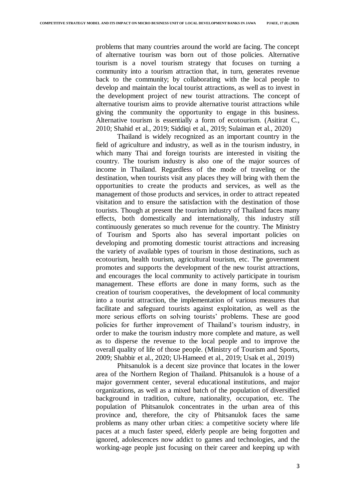problems that many countries around the world are facing. The concept of alternative tourism was born out of those policies. Alternative tourism is a novel tourism strategy that focuses on turning a community into a tourism attraction that, in turn, generates revenue back to the community; by collaborating with the local people to develop and maintain the local tourist attractions, as well as to invest in the development project of new tourist attractions. The concept of alternative tourism aims to provide alternative tourist attractions while giving the community the opportunity to engage in this business. Alternative tourism is essentially a form of ecotourism. (Asitirat C., 2010; Shahid et al., 2019; Siddiqi et al., 2019; Sulaiman et al., 2020)

Thailand is widely recognized as an important country in the field of agriculture and industry, as well as in the tourism industry, in which many Thai and foreign tourists are interested in visiting the country. The tourism industry is also one of the major sources of income in Thailand. Regardless of the mode of traveling or the destination, when tourists visit any places they will bring with them the opportunities to create the products and services, as well as the management of those products and services, in order to attract repeated visitation and to ensure the satisfaction with the destination of those tourists. Though at present the tourism industry of Thailand faces many effects, both domestically and internationally, this industry still continuously generates so much revenue for the country. The Ministry of Tourism and Sports also has several important policies on developing and promoting domestic tourist attractions and increasing the variety of available types of tourism in those destinations, such as ecotourism, health tourism, agricultural tourism, etc. The government promotes and supports the development of the new tourist attractions, and encourages the local community to actively participate in tourism management. These efforts are done in many forms, such as the creation of tourism cooperatives, the development of local community into a tourist attraction, the implementation of various measures that facilitate and safeguard tourists against exploitation, as well as the more serious efforts on solving tourists' problems. These are good policies for further improvement of Thailand's tourism industry, in order to make the tourism industry more complete and mature, as well as to disperse the revenue to the local people and to improve the overall quality of life of those people. (Ministry of Tourism and Sports, 2009; Shabbir et al., 2020; Ul-Hameed et al., 2019; Usak et al., 2019)

Phitsanulok is a decent size province that locates in the lower area of the Northern Region of Thailand. Phitsanulok is a house of a major government center, several educational institutions, and major organizations, as well as a mixed batch of the population of diversified background in tradition, culture, nationality, occupation, etc. The population of Phitsanulok concentrates in the urban area of this province and, therefore, the city of Phitsanulok faces the same problems as many other urban cities: a competitive society where life paces at a much faster speed, elderly people are being forgotten and ignored, adolescences now addict to games and technologies, and the working-age people just focusing on their career and keeping up with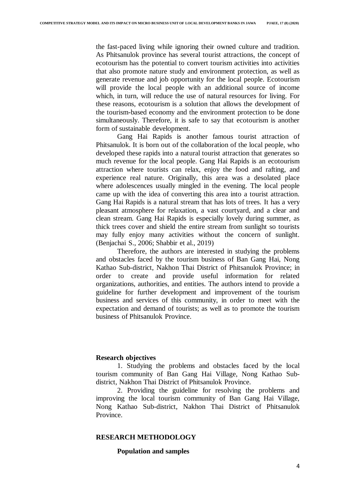the fast-paced living while ignoring their owned culture and tradition. As Phitsanulok province has several tourist attractions, the concept of ecotourism has the potential to convert tourism activities into activities that also promote nature study and environment protection, as well as generate revenue and job opportunity for the local people. Ecotourism will provide the local people with an additional source of income which, in turn, will reduce the use of natural resources for living. For these reasons, ecotourism is a solution that allows the development of the tourism-based economy and the environment protection to be done simultaneously. Therefore, it is safe to say that ecotourism is another form of sustainable development.

Gang Hai Rapids is another famous tourist attraction of Phitsanulok. It is born out of the collaboration of the local people, who developed these rapids into a natural tourist attraction that generates so much revenue for the local people. Gang Hai Rapids is an ecotourism attraction where tourists can relax, enjoy the food and rafting, and experience real nature. Originally, this area was a desolated place where adolescences usually mingled in the evening. The local people came up with the idea of converting this area into a tourist attraction. Gang Hai Rapids is a natural stream that has lots of trees. It has a very pleasant atmosphere for relaxation, a vast courtyard, and a clear and clean stream. Gang Hai Rapids is especially lovely during summer, as thick trees cover and shield the entire stream from sunlight so tourists may fully enjoy many activities without the concern of sunlight. (Benjachai S., 2006; Shabbir et al., 2019)

Therefore, the authors are interested in studying the problems and obstacles faced by the tourism business of Ban Gang Hai, Nong Kathao Sub-district, Nakhon Thai District of Phitsanulok Province; in order to create and provide useful information for related organizations, authorities, and entities. The authors intend to provide a guideline for further development and improvement of the tourism business and services of this community, in order to meet with the expectation and demand of tourists; as well as to promote the tourism business of Phitsanulok Province.

#### **Research objectives**

1. Studying the problems and obstacles faced by the local tourism community of Ban Gang Hai Village, Nong Kathao Subdistrict, Nakhon Thai District of Phitsanulok Province.

2. Providing the guideline for resolving the problems and improving the local tourism community of Ban Gang Hai Village, Nong Kathao Sub-district, Nakhon Thai District of Phitsanulok Province.

# **RESEARCH METHODOLOGY**

## **Population and samples**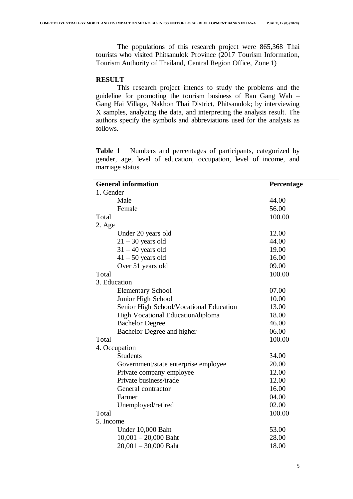The populations of this research project were 865,368 Thai tourists who visited Phitsanulok Province (2017 Tourism Information, Tourism Authority of Thailand, Central Region Office, Zone 1)

# **RESULT**

This research project intends to study the problems and the guideline for promoting the tourism business of Ban Gang Wah – Gang Hai Village, Nakhon Thai District, Phitsanulok; by interviewing X samples, analyzing the data, and interpreting the analysis result. The authors specify the symbols and abbreviations used for the analysis as follows.

**Table 1** Numbers and percentages of participants, categorized by gender, age, level of education, occupation, level of income, and marriage status

| <b>General information</b>              | Percentage |  |
|-----------------------------------------|------------|--|
| 1. Gender                               |            |  |
| Male                                    | 44.00      |  |
| Female                                  | 56.00      |  |
| Total                                   | 100.00     |  |
| $2. \text{Age}$                         |            |  |
| Under 20 years old                      | 12.00      |  |
| $21 - 30$ years old                     | 44.00      |  |
| $31 - 40$ years old                     | 19.00      |  |
| $41 - 50$ years old                     | 16.00      |  |
| Over 51 years old                       | 09.00      |  |
| Total                                   | 100.00     |  |
| 3. Education                            |            |  |
| <b>Elementary School</b>                | 07.00      |  |
| Junior High School                      | 10.00      |  |
| Senior High School/Vocational Education | 13.00      |  |
| High Vocational Education/diploma       | 18.00      |  |
| <b>Bachelor Degree</b>                  | 46.00      |  |
| Bachelor Degree and higher              | 06.00      |  |
| Total                                   | 100.00     |  |
| 4. Occupation                           |            |  |
| <b>Students</b>                         | 34.00      |  |
| Government/state enterprise employee    | 20.00      |  |
| Private company employee                | 12.00      |  |
| Private business/trade                  | 12.00      |  |
| General contractor                      | 16.00      |  |
| Farmer                                  | 04.00      |  |
| Unemployed/retired                      | 02.00      |  |
| Total                                   | 100.00     |  |
| 5. Income                               |            |  |
| Under 10,000 Baht                       | 53.00      |  |
| $10,001 - 20,000$ Baht                  | 28.00      |  |
| $20,001 - 30,000$ Baht                  | 18.00      |  |
|                                         |            |  |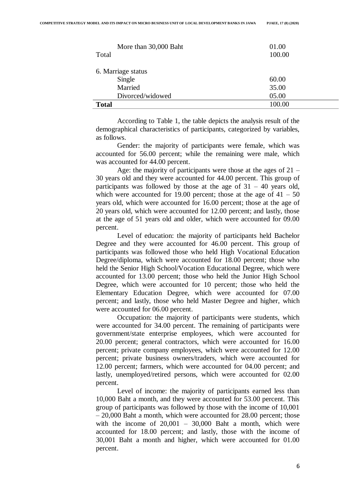| More than 30,000 Baht<br>Total | 01.00<br>100.00 |
|--------------------------------|-----------------|
| 6. Marriage status             |                 |
| Single                         | 60.00           |
| Married                        | 35.00           |
| Divorced/widowed               | 05.00           |
| <b>Total</b>                   | 100.00          |

According to Table 1, the table depicts the analysis result of the demographical characteristics of participants, categorized by variables, as follows.

Gender: the majority of participants were female, which was accounted for 56.00 percent; while the remaining were male, which was accounted for 44.00 percent.

Age: the majority of participants were those at the ages of 21 – 30 years old and they were accounted for 44.00 percent. This group of participants was followed by those at the age of  $31 - 40$  years old, which were accounted for 19.00 percent; those at the age of  $41 - 50$ years old, which were accounted for 16.00 percent; those at the age of 20 years old, which were accounted for 12.00 percent; and lastly, those at the age of 51 years old and older, which were accounted for 09.00 percent.

Level of education: the majority of participants held Bachelor Degree and they were accounted for 46.00 percent. This group of participants was followed those who held High Vocational Education Degree/diploma, which were accounted for 18.00 percent; those who held the Senior High School/Vocation Educational Degree, which were accounted for 13.00 percent; those who held the Junior High School Degree, which were accounted for 10 percent; those who held the Elementary Education Degree, which were accounted for 07.00 percent; and lastly, those who held Master Degree and higher, which were accounted for 06.00 percent.

Occupation: the majority of participants were students, which were accounted for 34.00 percent. The remaining of participants were government/state enterprise employees, which were accounted for 20.00 percent; general contractors, which were accounted for 16.00 percent; private company employees, which were accounted for 12.00 percent; private business owners/traders, which were accounted for 12.00 percent; farmers, which were accounted for 04.00 percent; and lastly, unemployed/retired persons, which were accounted for 02.00 percent.

Level of income: the majority of participants earned less than 10,000 Baht a month, and they were accounted for 53.00 percent. This group of participants was followed by those with the income of 10,001 – 20,000 Baht a month, which were accounted for 28.00 percent; those with the income of 20,001 – 30,000 Baht a month, which were accounted for 18.00 percent; and lastly, those with the income of 30,001 Baht a month and higher, which were accounted for 01.00 percent.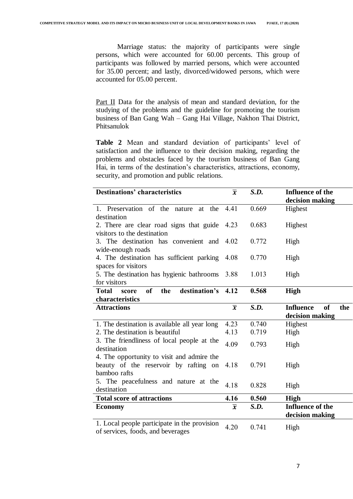Marriage status: the majority of participants were single persons, which were accounted for 60.00 percents. This group of participants was followed by married persons, which were accounted for 35.00 percent; and lastly, divorced/widowed persons, which were accounted for 05.00 percent.

Part II Data for the analysis of mean and standard deviation, for the studying of the problems and the guideline for promoting the tourism business of Ban Gang Wah – Gang Hai Village, Nakhon Thai District, Phitsanulok

**Table 2** Mean and standard deviation of participants' level of satisfaction and the influence to their decision making, regarding the problems and obstacles faced by the tourism business of Ban Gang Hai, in terms of the destination's characteristics, attractions, economy, security, and promotion and public relations.

| <b>Destinations' characteristics</b>                                | $\overline{x}$ | S.D.  | Influence of the                     |
|---------------------------------------------------------------------|----------------|-------|--------------------------------------|
|                                                                     |                |       | decision making                      |
| 1. Preservation of the nature at the                                | 4.41           | 0.669 | Highest                              |
| destination                                                         |                |       |                                      |
| 2. There are clear road signs that guide                            | 4.23           | 0.683 | Highest                              |
| visitors to the destination                                         |                |       |                                      |
| 3. The destination has convenient and                               | 4.02           | 0.772 | High                                 |
| wide-enough roads                                                   |                |       |                                      |
| 4. The destination has sufficient parking                           | 4.08           | 0.770 | High                                 |
| spaces for visitors                                                 |                |       |                                      |
| 5. The destination has hygienic bathrooms                           | 3.88           | 1.013 | High                                 |
| for visitors                                                        |                |       |                                      |
| destination's 4.12<br><sub>of</sub><br><b>Total</b><br>the<br>score |                | 0.568 | High                                 |
| characteristics                                                     |                |       |                                      |
| <b>Attractions</b>                                                  | $\overline{x}$ | S.D.  | <b>Influence</b><br><b>of</b><br>the |
|                                                                     |                |       | decision making                      |
| 1. The destination is available all year long                       | 4.23           | 0.740 | Highest                              |
| 2. The destination is beautiful                                     | 4.13           | 0.719 | High                                 |
| 3. The friendliness of local people at the                          |                |       |                                      |
|                                                                     |                |       |                                      |
| destination                                                         | 4.09           | 0.793 | High                                 |
| 4. The opportunity to visit and admire the                          |                |       |                                      |
| beauty of the reservoir by rafting on                               | 4.18           | 0.791 | High                                 |
| bamboo rafts                                                        |                |       |                                      |
| 5. The peacefulness and nature at the                               |                |       |                                      |
| destination                                                         | 4.18           | 0.828 | High                                 |
| <b>Total score of attractions</b>                                   | 4.16           | 0.560 | <b>High</b>                          |
| <b>Economy</b>                                                      | $\overline{x}$ | S.D.  | <b>Influence of the</b>              |
|                                                                     |                |       | decision making                      |
| 1. Local people participate in the provision                        | 4.20           | 0.741 | High                                 |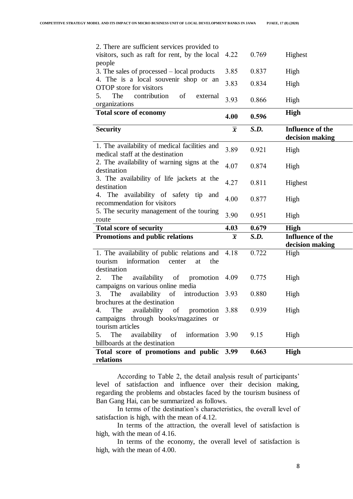| 2. There are sufficient services provided to<br>visitors, such as raft for rent, by the local                       | 4.22           | 0.769 | Highest                                    |
|---------------------------------------------------------------------------------------------------------------------|----------------|-------|--------------------------------------------|
| people                                                                                                              |                |       |                                            |
| 3. The sales of processed – local products                                                                          | 3.85           | 0.837 | High                                       |
| 4. The is a local souvenir shop or an                                                                               | 3.83           | 0.834 | High                                       |
| <b>OTOP</b> store for visitors                                                                                      |                |       |                                            |
| 5.<br>The<br>contribution<br>of<br>external<br>organizations                                                        | 3.93           | 0.866 | High                                       |
| <b>Total score of economy</b>                                                                                       |                |       | <b>High</b>                                |
|                                                                                                                     | 4.00           | 0.596 |                                            |
| <b>Security</b>                                                                                                     | $\overline{x}$ | S.D.  | <b>Influence of the</b><br>decision making |
| 1. The availability of medical facilities and<br>medical staff at the destination                                   | 3.89           | 0.921 | High                                       |
| 2. The availability of warning signs at the<br>destination                                                          | 4.07           | 0.874 | High                                       |
| 3. The availability of life jackets at the<br>destination                                                           | 4.27           | 0.811 | Highest                                    |
| 4. The availability of safety tip and<br>recommendation for visitors                                                | 4.00           | 0.877 | High                                       |
| 5. The security management of the touring<br>route                                                                  | 3.90           | 0.951 | High                                       |
| <b>Total score of security</b>                                                                                      | 4.03           | 0.679 | <b>High</b>                                |
| Promotions and public relations                                                                                     | $\overline{x}$ | S.D.  | <b>Influence of the</b>                    |
|                                                                                                                     |                |       | decision making                            |
| 1. The availability of public relations and<br>information<br>tourism<br>center<br>the<br>at<br>destination         | 4.18           | 0.722 | High                                       |
| availability of<br>2.<br>The<br>promotion<br>campaigns on various online media                                      | 4.09           | 0.775 | High                                       |
| The<br>availability of<br>introduction<br>3.                                                                        | 3.93           | 0.880 | High                                       |
| brochures at the destination<br>availability of promotion 3.88<br>4.<br>The<br>campaigns through books/magazines or |                | 0.939 | High                                       |
| tourism articles<br>availability of<br>The<br>information 3.90<br>5.<br>billboards at the destination               |                | 9.15  | High                                       |
| Total score of promotions and public 3.99<br>relations                                                              |                | 0.663 | High                                       |

According to Table 2, the detail analysis result of participants' level of satisfaction and influence over their decision making, regarding the problems and obstacles faced by the tourism business of Ban Gang Hai, can be summarized as follows.

In terms of the destination's characteristics, the overall level of satisfaction is high, with the mean of 4.12.

In terms of the attraction, the overall level of satisfaction is high, with the mean of 4.16.

In terms of the economy, the overall level of satisfaction is high, with the mean of 4.00.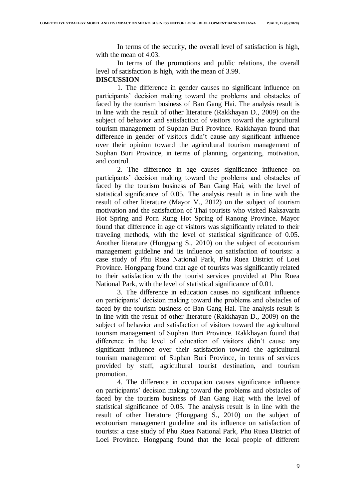In terms of the security, the overall level of satisfaction is high, with the mean of 4.03.

In terms of the promotions and public relations, the overall level of satisfaction is high, with the mean of 3.99.

#### **DISCUSSION**

1. The difference in gender causes no significant influence on participants' decision making toward the problems and obstacles of faced by the tourism business of Ban Gang Hai. The analysis result is in line with the result of other literature (Rakkhayan D., 2009) on the subject of behavior and satisfaction of visitors toward the agricultural tourism management of Suphan Buri Province. Rakkhayan found that difference in gender of visitors didn't cause any significant influence over their opinion toward the agricultural tourism management of Suphan Buri Province, in terms of planning, organizing, motivation, and control.

2. The difference in age causes significance influence on participants' decision making toward the problems and obstacles of faced by the tourism business of Ban Gang Hai; with the level of statistical significance of 0.05. The analysis result is in line with the result of other literature (Mayor V., 2012) on the subject of tourism motivation and the satisfaction of Thai tourists who visited Raksavarin Hot Spring and Porn Rung Hot Spring of Ranong Province. Mayor found that difference in age of visitors was significantly related to their traveling methods, with the level of statistical significance of 0.05. Another literature (Hongpang S., 2010) on the subject of ecotourism management guideline and its influence on satisfaction of tourists: a case study of Phu Ruea National Park, Phu Ruea District of Loei Province. Hongpang found that age of tourists was significantly related to their satisfaction with the tourist services provided at Phu Ruea National Park, with the level of statistical significance of 0.01.

3. The difference in education causes no significant influence on participants' decision making toward the problems and obstacles of faced by the tourism business of Ban Gang Hai. The analysis result is in line with the result of other literature (Rakkhayan D., 2009) on the subject of behavior and satisfaction of visitors toward the agricultural tourism management of Suphan Buri Province. Rakkhayan found that difference in the level of education of visitors didn't cause any significant influence over their satisfaction toward the agricultural tourism management of Suphan Buri Province, in terms of services provided by staff, agricultural tourist destination, and tourism promotion.

4. The difference in occupation causes significance influence on participants' decision making toward the problems and obstacles of faced by the tourism business of Ban Gang Hai; with the level of statistical significance of 0.05. The analysis result is in line with the result of other literature (Hongpang S., 2010) on the subject of ecotourism management guideline and its influence on satisfaction of tourists: a case study of Phu Ruea National Park, Phu Ruea District of Loei Province. Hongpang found that the local people of different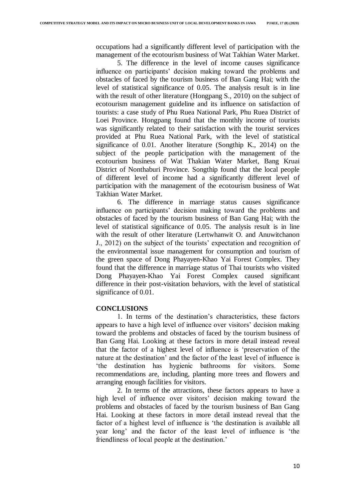occupations had a significantly different level of participation with the management of the ecotourism business of Wat Takhian Water Market.

5. The difference in the level of income causes significance influence on participants' decision making toward the problems and obstacles of faced by the tourism business of Ban Gang Hai; with the level of statistical significance of 0.05. The analysis result is in line with the result of other literature (Hongpang S., 2010) on the subject of ecotourism management guideline and its influence on satisfaction of tourists: a case study of Phu Ruea National Park, Phu Ruea District of Loei Province. Hongpang found that the monthly income of tourists was significantly related to their satisfaction with the tourist services provided at Phu Ruea National Park, with the level of statistical significance of 0.01. Another literature (Songthip K., 2014) on the subject of the people participation with the management of the ecotourism business of Wat Thakian Water Market, Bang Kruai District of Nonthaburi Province. Songthip found that the local people of different level of income had a significantly different level of participation with the management of the ecotourism business of Wat Takhian Water Market.

6. The difference in marriage status causes significance influence on participants' decision making toward the problems and obstacles of faced by the tourism business of Ban Gang Hai; with the level of statistical significance of 0.05. The analysis result is in line with the result of other literature (Lertwhanwit O. and Anuwitchanon J., 2012) on the subject of the tourists' expectation and recognition of the environmental issue management for consumption and tourism of the green space of Dong Phayayen-Khao Yai Forest Complex. They found that the difference in marriage status of Thai tourists who visited Dong Phayayen-Khao Yai Forest Complex caused significant difference in their post-visitation behaviors, with the level of statistical significance of 0.01.

# **CONCLUSIONS**

1. In terms of the destination's characteristics, these factors appears to have a high level of influence over visitors' decision making toward the problems and obstacles of faced by the tourism business of Ban Gang Hai. Looking at these factors in more detail instead reveal that the factor of a highest level of influence is 'preservation of the nature at the destination' and the factor of the least level of influence is 'the destination has hygienic bathrooms for visitors. Some recommendations are, including, planting more trees and flowers and arranging enough facilities for visitors.

2. In terms of the attractions, these factors appears to have a high level of influence over visitors' decision making toward the problems and obstacles of faced by the tourism business of Ban Gang Hai. Looking at these factors in more detail instead reveal that the factor of a highest level of influence is 'the destination is available all year long' and the factor of the least level of influence is 'the friendliness of local people at the destination.'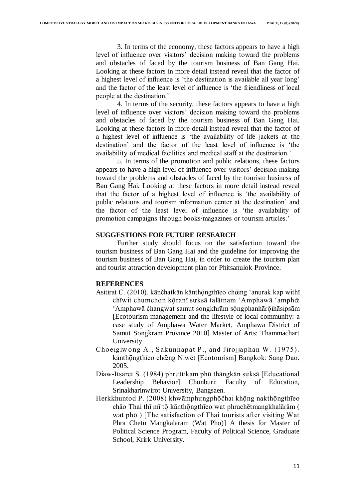3. In terms of the economy, these factors appears to have a high level of influence over visitors' decision making toward the problems and obstacles of faced by the tourism business of Ban Gang Hai. Looking at these factors in more detail instead reveal that the factor of a highest level of influence is 'the destination is available all year long' and the factor of the least level of influence is 'the friendliness of local people at the destination.'

4. In terms of the security, these factors appears to have a high level of influence over visitors' decision making toward the problems and obstacles of faced by the tourism business of Ban Gang Hai. Looking at these factors in more detail instead reveal that the factor of a highest level of influence is 'the availability of life jackets at the destination' and the factor of the least level of influence is 'the availability of medical facilities and medical staff at the destination.'

5. In terms of the promotion and public relations, these factors appears to have a high level of influence over visitors' decision making toward the problems and obstacles of faced by the tourism business of Ban Gang Hai. Looking at these factors in more detail instead reveal that the factor of a highest level of influence is 'the availability of public relations and tourism information center at the destination' and the factor of the least level of influence is 'the availability of promotion campaigns through books/magazines or tourism articles.'

# **SUGGESTIONS FOR FUTURE RESEARCH**

Further study should focus on the satisfaction toward the tourism business of Ban Gang Hai and the guideline for improving the tourism business of Ban Gang Hai, in order to create the tourism plan and tourist attraction development plan for Phitsanulok Province.

# **REFERENCES**

- Asitirat C. (2010). kānčhatkān kānthōngthīeo chēng 'anurak kap withī chīwit chumchon kōranī suksā talātnam 'Amphawā 'amphœ 'Amphawā čhangwat samut songkhrām sōngphanhārōihāsipsām [Ecotourism management and the lifestyle of local community: a case study of Amphawa Water Market, Amphawa District of Samut Songkram Province 2010] Master of Arts: Thammachart University.
- Choeigiw ong A., Sakunnapat P., and Jirojjaphan W. (1975). kānthōngthīeo chœng Niwēt [Ecotourism] Bangkok: Sang Dao, 2005.
- Diaw-Itsaret S. (1984) phrưttikam phū thāngkān sưksā [Educational Leadership Behavior] Chonburi: Faculty of Education, Srinakharinwirot University, Bangsaen.
- Herkkhuntod P. (2008) khwāmphưngphōčhai khōng nakthōngthīeo chāo Thai thī mī tō kānthōngthīeo wat phrachētmangkhalārām ( wat phō ) [The satisfaction of Thai tourists after visiting Wat Phra Chetu Mangkalaram (Wat Pho)] A thesis for Master of Political Science Program, Faculty of Political Science, Graduate School, Krirk University.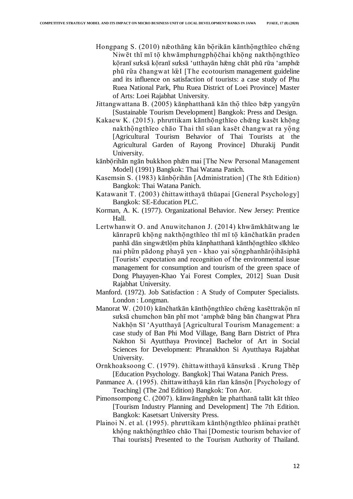- Hongpang S. (2010) næothāng kān bōrikān kānthōngthīeo chēng Niwēt thī mī tō khwāmphưngphōčhai khōng nakthōngthīeo kōranī sưksā kōranī sưksā 'utthayān hæng chāt phū rūa 'amphœ phū rūa čhangwat lœI [The ecotourism management guideline and its influence on satisfaction of tourists: a case study of Phu Ruea National Park, Phu Ruea District of Loei Province] Master of Arts: Loei Rajabhat University.
- Jittangwattana B. (2005) kānphatthanā kān thō thīeo bæp yangyūn [Sustainable Tourism Development] Bangkok: Press and Design.
- Kakaew K. (2015). phruttikam kānthōngthīeo chēng kasēt khōng nakthōngthīeo chāo Thai thī sūan kasēt čhangwat ra yōng [Agricultural Tourism Behavior of Thai Tourists at the Agricultural Garden of Rayong Province] Dhurakij Pundit University.
- kānbōrihān ngān bukkhon phæn mai [The New Personal Management Model] (1991) Bangkok: Thai Watana Panich.
- Kasemsin S. (1983) kānbo rihān [Administration] (The 8th Edition) Bangkok: Thai Watana Panich.
- Katawanit T. (2003) čhittawitthayā thūapai [General Psychology] Bangkok: SE-Education PLC.
- Korman, A. K. (1977). Organizational Behavior. New Jersey: Prentice Hall.
- Lertwhanwit O. and Anuwitchanon J. (2014) khwāmkhātwang læ kānraprū khong nakthongthīeo thī mī to kānčhatkān praden panhā dān singwātlōm phūa kānphatthanā kānthōngthīeo sīkhīeo nai phữn pādong phayā yen - khao yai sōngphanhārōihāsiphā [Tourists' expectation and recognition of the environmental issue management for consumption and tourism of the green space of Dong Phayayen-Khao Yai Forest Complex, 2012] Suan Dusit Rajabhat University.
- Manford. (1972). Job Satisfaction : A Study of Computer Specialists. London : Longman.
- Manorat W. (2010) kānčhatkān kānthōngthīeo chēng kasēttrakōn nī sưksā chumchon bān phī mot ʻamphœ̜̄ bāng bān čhangwat Phra Nakhon Sī 'Ayutthayā [Agricultural Tourism Management: a case study of Ban Phi Mod Village, Bang Barn District of Phra Nakhon Si Ayutthaya Province] Bachelor of Art in Social Sciences for Development: Phranakhon Si Ayutthaya Rajabhat University.
- Ornkhoaksoong C. (1979). čhittawitthayā kānsưksā . Krung Thēp [Education Psychology. Bangkok] Thai Watana Panich Press.
- Panmanee A. (1995). čhittawitthayā kān rīan kānson [Psychology of Teaching] (The 2nd Edition) Bangkok: Ton Aor.
- Pimonsompong C. (2007). kānwāngphæn læ phatthanā talāt kāt thīeo [Tourism Industry Planning and Development] The 7th Edition. Bangkok: Kasetsart University Press.
- Plainoi N. et al. (1995). phruttikam kānthongthīeo phāinai prathēt khōng nakthōngthīeo chāo Thai [Domestic tourism behavior of Thai tourists] Presented to the Tourism Authority of Thailand.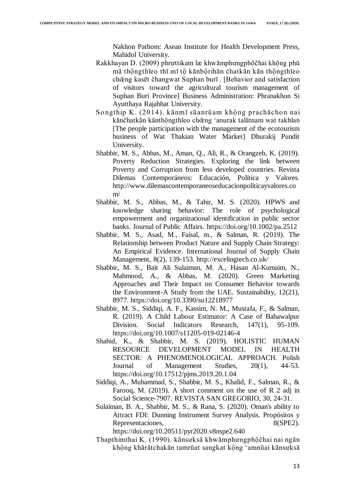Nakhon Pathom: Asean Institute for Health Development Press, Mahidol University.

- Rakkhayan D. (2009) phruttikam læ khwāmphưngphōčhai khōng phū mā thōngthīeo thī mī tō kānbōrihān čhatkān kān thōngthīeo chœ̜̄ng kasēt čhangwat Suphan burī . [Behavior and satisfaction of visitors toward the agricultural tourism management of Suphan Buri Province] Business Administration: Phranakhon Si Ayutthaya Rajabhat University.
- Songthip K. (2014). kānmī sūanrūam khong prachāchon nai kānčhatkān kānthōngthīeo chœng 'anurak talātnam wat takhīan [The people participation with the management of the ecotourism business of Wat Thakian Water Market] Dhurakij Pundit University.
- Shabbir, M. S., Abbas, M., Aman, Q., Ali, R., & Orangzeb, K. (2019). Poverty Reduction Strategies. Exploring the link between Poverty and Corruption from less developed countries. Revista Dilemas Contemporáneos: Educación, Política y Valores. http://www.dilemascontemporaneoseducacionpoliticayvalores.co m/
- Shabbir, M. S., Abbas, M., & Tahir, M. S. (2020). HPWS and knowledge sharing behavior: The role of psychological empowerment and organizational identification in public sector banks. Journal of Public Affairs. https://doi.org/10.1002/pa.2512
- Shabbir, M. S., Asad, M., Faisal, m., & Salman, R. (2019). The Relationship between Product Nature and Supply Chain Strategy: An Empirical Evidence. International Journal of Supply Chain Management, 8(2), 139-153. http://excelingtech.co.uk/
- Shabbir, M. S., Bait Ali Sulaiman, M. A., Hasan Al-Kumaim, N., Mahmood, A., & Abbas, M. (2020). Green Marketing Approaches and Their Impact on Consumer Behavior towards the Environment-A Study from the UAE. Sustainability, 12(21), 8977. https://doi.org/10.3390/su12218977
- Shabbir, M. S., Siddiqi, A. F., Kassim, N. M., Mustafa, F., & Salman, R. (2019). A Child Labour Estimator: A Case of Bahawalpur Division. Social Indicators Research, 147(1), 95-109. https://doi.org/10.1007/s11205-019-02146-4
- Shahid, K., & Shabbir, M. S. (2019). HOLISTIC HUMAN RESOURCE DEVELOPMENT MODEL IN HEALTH SECTOR: A PHENOMENOLOGICAL APPROACH. Polish Journal of Management Studies, 20(1), 44-53. https://doi.org/10.17512/pjms.2019.20.1.04
- Siddiqi, A., Muhammad, S., Shabbir, M. S., Khalid, F., Salman, R., & Farooq, M. (2019). A short comment on the use of R 2 adj in Social Science-7907. REVISTA SAN GREGORIO, 30, 24-31.
- Sulaiman, B. A., Shabbir, M. S., & Rana, S. (2020). Oman's ability to Attract FDI: Dunning Instrument Survey Analysis. Propósitos y Representaciones, 8(SPE2).

https://doi.org/10.20511/pyr2020.v8nspe2.640

Thapthimthai K. (1990). kānsuksā khwāmphưngphōčhai nai ngān khōng khārātchakān tamrūat sangkat kōng 'amnūai kānsưksā